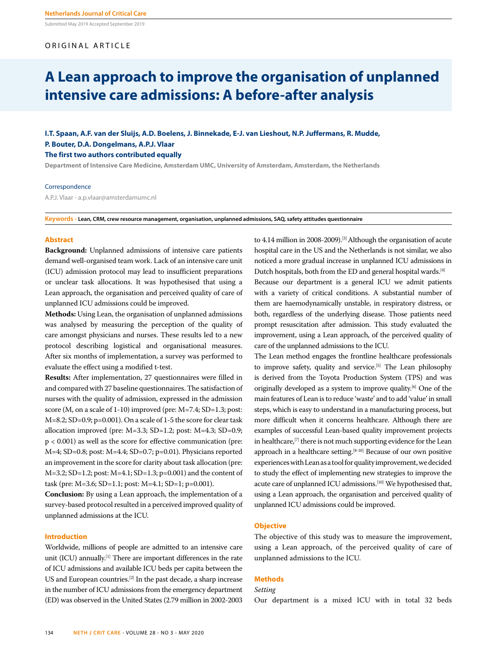Submitted May 2019 Accepted September 2019

## ORIGINAL ARTICLE

# **A Lean approach to improve the organisation of unplanned intensive care admissions: A before-after analysis**

**I.T. Spaan, A.F. van der Sluijs, A.D. Boelens, J. Binnekade, E-J. van Lieshout, N.P. Juffermans, R. Mudde, P. Bouter, D.A. Dongelmans, A.P.J. Vlaar The first two authors contributed equally**

**Department of Intensive Care Medicine, Amsterdam UMC, University of Amsterdam, Amsterdam, the Netherlands**

#### Correspondence

A.P.J. Vlaar - a.p.vlaar@amsterdamumc.nl

**Keywords - Lean, CRM, crew resource management, organisation, unplanned admissions, SAQ, safety attitudes questionnaire**

#### **Abstract**

**Background:** Unplanned admissions of intensive care patients demand well-organised team work. Lack of an intensive care unit (ICU) admission protocol may lead to insufficient preparations or unclear task allocations. It was hypothesised that using a Lean approach, the organisation and perceived quality of care of unplanned ICU admissions could be improved.

**Methods:** Using Lean, the organisation of unplanned admissions was analysed by measuring the perception of the quality of care amongst physicians and nurses. These results led to a new protocol describing logistical and organisational measures. After six months of implementation, a survey was performed to evaluate the effect using a modified t-test.

**Results:** After implementation, 27 questionnaires were filled in and compared with 27 baseline questionnaires. The satisfaction of nurses with the quality of admission, expressed in the admission score (M, on a scale of 1-10) improved (pre: M=7.4; SD=1.3; post: M=8.2; SD=0.9; p=0.001). On a scale of 1-5 the score for clear task allocation improved (pre: M=3.3; SD=1.2; post: M=4.3; SD=0.9; p < 0.001) as well as the score for effective communication (pre: M=4; SD=0.8; post: M=4.4; SD=0.7; p=0.01). Physicians reported an improvement in the score for clarity about task allocation (pre: M=3.2; SD=1.2; post: M=4.1; SD=1.3; p=0.001) and the content of task (pre: M=3.6; SD=1.1; post: M=4.1; SD=1; p=0.001).

**Conclusion:** By using a Lean approach, the implementation of a survey-based protocol resulted in a perceived improved quality of unplanned admissions at the ICU.

## **Introduction**

Worldwide, millions of people are admitted to an intensive care unit (ICU) annually.<sup>[1]</sup> There are important differences in the rate of ICU admissions and available ICU beds per capita between the US and European countries.[2] In the past decade, a sharp increase in the number of ICU admissions from the emergency department (ED) was observed in the United States (2.79 million in 2002-2003 to 4.14 million in 2008-2009).<sup>[3]</sup> Although the organisation of acute hospital care in the US and the Netherlands is not similar, we also noticed a more gradual increase in unplanned ICU admissions in Dutch hospitals, both from the ED and general hospital wards.[4]

Because our department is a general ICU we admit patients with a variety of critical conditions. A substantial number of them are haemodynamically unstable, in respiratory distress, or both, regardless of the underlying disease. Those patients need prompt resuscitation after admission. This study evaluated the improvement, using a Lean approach, of the perceived quality of care of the unplanned admissions to the ICU.

The Lean method engages the frontline healthcare professionals to improve safety, quality and service.<sup>[5]</sup> The Lean philosophy is derived from the Toyota Production System (TPS) and was originally developed as a system to improve quality.[6] One of the main features of Lean is to reduce 'waste' and to add 'value' in small steps, which is easy to understand in a manufacturing process, but more difficult when it concerns healthcare. Although there are examples of successful Lean-based quality improvement projects in healthcare,<sup>[7]</sup> there is not much supporting evidence for the Lean approach in a healthcare setting.<sup>[8-10]</sup> Because of our own positive experiences with Lean as a tool for quality improvement, we decided to study the effect of implementing new strategies to improve the acute care of unplanned ICU admissions.<sup>[10]</sup> We hypothesised that, using a Lean approach, the organisation and perceived quality of unplanned ICU admissions could be improved.

## **Objective**

The objective of this study was to measure the improvement, using a Lean approach, of the perceived quality of care of unplanned admissions to the ICU.

## **Methods**

## *Setting*

Our department is a mixed ICU with in total 32 beds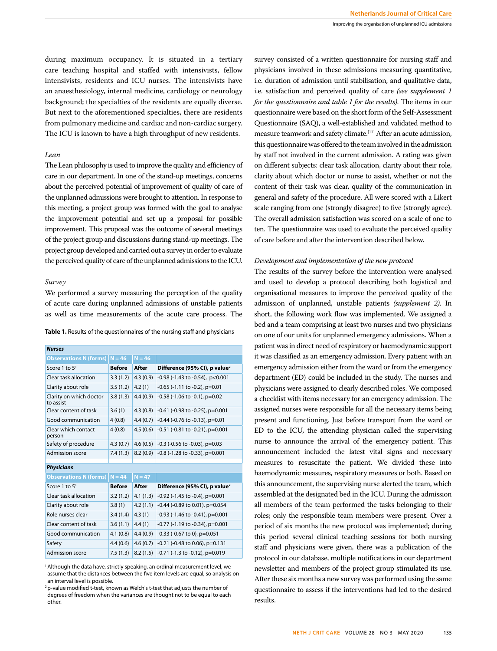during maximum occupancy. It is situated in a tertiary care teaching hospital and staffed with intensivists, fellow intensivists, residents and ICU nurses. The intensivists have an anaesthesiology, internal medicine, cardiology or neurology background; the specialties of the residents are equally diverse. But next to the aforementioned specialties, there are residents from pulmonary medicine and cardiac and non-cardiac surgery. The ICU is known to have a high throughput of new residents.

## *Lean*

The Lean philosophy is used to improve the quality and efficiency of care in our department. In one of the stand-up meetings, concerns about the perceived potential of improvement of quality of care of the unplanned admissions were brought to attention. In response to this meeting, a project group was formed with the goal to analyse the improvement potential and set up a proposal for possible improvement. This proposal was the outcome of several meetings of the project group and discussions during stand-up meetings. The project group developed and carried out a survey in order to evaluate the perceived quality of care of the unplanned admissions to the ICU.

## *Survey*

We performed a survey measuring the perception of the quality of acute care during unplanned admissions of unstable patients as well as time measurements of the acute care process. The

|  | <b>Table 1.</b> Results of the questionnaires of the nursing staff and physicians |  |  |
|--|-----------------------------------------------------------------------------------|--|--|
|--|-----------------------------------------------------------------------------------|--|--|

| <b>Nurses</b>                        |               |          |                                           |  |  |  |
|--------------------------------------|---------------|----------|-------------------------------------------|--|--|--|
| <b>Observations N (forms)</b>        | $N = 46$      | $N = 46$ |                                           |  |  |  |
| Score 1 to $51$                      | <b>Before</b> | After    | Difference (95% CI), p value <sup>2</sup> |  |  |  |
| Clear task allocation                | 3.3(1.2)      | 4.3(0.9) | $-0.98$ ( $-1.43$ to $-0.54$ ), p<0.001   |  |  |  |
| Clarity about role                   | 3.5(1.2)      | 4.2(1)   | $-0.65$ ( $-1.11$ to $-0.2$ ), p=0.01     |  |  |  |
| Clarity on which doctor<br>to assist | 3.8(1.3)      | 4.4(0.9) | $-0.58$ ( $-1.06$ to $-0.1$ ), p=0.02     |  |  |  |
| Clear content of task                | 3.6(1)        | 4.3(0.8) | -0.61 (-0.98 to -0.25), p=0.001           |  |  |  |
| Good communication                   | 4(0.8)        | 4.4(0.7) | $-0.44$ ( $-0.76$ to $-0.13$ ), p=0.01    |  |  |  |
| Clear which contact<br>person        | 4(0.8)        | 4.5(0.6) | $-0.51$ ( $-0.81$ to $-0.21$ ), p=0.001   |  |  |  |
| Safety of procedure                  | 4.3(0.7)      | 4.6(0.5) | $-0.3$ ( $-0.56$ to $-0.03$ ), p=0.03     |  |  |  |
| Admission score                      | 7.4(1.3)      | 8.2(0.9) | $-0.8$ ( $-1.28$ to $-0.33$ ), p=0.001    |  |  |  |
| <b>Physicians</b>                    |               |          |                                           |  |  |  |
| <b>Observations N (forms)</b>        | $N = 44$      | $N = 47$ |                                           |  |  |  |
| Score 1 to $51$                      | <b>Before</b> | After    | Difference (95% CI), p value <sup>2</sup> |  |  |  |
| Clear task allocation                | 3.2(1.2)      | 4.1(1.3) | $-0.92$ ( $-1.45$ to $-0.4$ ), p=0.001    |  |  |  |
| Clarity about role                   | 3.8(1)        | 4.2(1.1) | $-0.44$ ( $-0.89$ to 0.01), p=0.054       |  |  |  |
| Role nurses clear                    | 3.4(1.4)      | 4.3(1)   | $-0.93$ ( $-1.46$ to $-0.41$ ), p=0.001   |  |  |  |
| Clear content of task                | 3.6(1.1)      | 4.4(1)   | -0.77 (-1.19 to -0.34), p=0.001           |  |  |  |
| Good communication                   | 4.1(0.8)      | 4.4(0.9) | $-0.33$ ( $-0.67$ to 0), p=0.051          |  |  |  |
| Safety                               | 4.4(0.6)      | 4.6(0.7) | $-0.21$ ( $-0.48$ to 0.06), p=0.131       |  |  |  |
| <b>Admission score</b>               | 7.5(1.3)      | 8.2(1.5) | -0.71 (-1.3 to -0.12), p=0.019            |  |  |  |

<sup>1</sup> Although the data have, strictly speaking, an ordinal measurement level, we assume that the distances between the five item levels are equal, so analysis on an interval level is possible.

<sup>2</sup> p-value modified t-test, known as Welch's t-test that adjusts the number of degrees of freedom when the variances are thought not to be equal to each other.

survey consisted of a written questionnaire for nursing staff and physicians involved in these admissions measuring quantitative, i.e. duration of admission until stabilisation, and qualitative data, i.e. satisfaction and perceived quality of care *(see supplement 1 for the questionnaire and table 1 for the results)*. The items in our questionnaire were based on the short form of the Self-Assessment Questionnaire (SAQ), a well-established and validated method to measure teamwork and safety climate.[11] After an acute admission, this questionnaire was offered to the team involved in the admission by staff not involved in the current admission. A rating was given on different subjects: clear task allocation, clarity about their role, clarity about which doctor or nurse to assist, whether or not the content of their task was clear, quality of the communication in general and safety of the procedure. All were scored with a Likert scale ranging from one (strongly disagree) to five (strongly agree). The overall admission satisfaction was scored on a scale of one to ten. The questionnaire was used to evaluate the perceived quality of care before and after the intervention described below.

## *Development and implementation of the new protocol*

The results of the survey before the intervention were analysed and used to develop a protocol describing both logistical and organisational measures to improve the perceived quality of the admission of unplanned, unstable patients *(supplement 2)*. In short, the following work flow was implemented. We assigned a bed and a team comprising at least two nurses and two physicians on one of our units for unplanned emergency admissions. When a patient was in direct need of respiratory or haemodynamic support it was classified as an emergency admission. Every patient with an emergency admission either from the ward or from the emergency department (ED) could be included in the study. The nurses and physicians were assigned to clearly described roles. We composed a checklist with items necessary for an emergency admission. The assigned nurses were responsible for all the necessary items being present and functioning. Just before transport from the ward or ED to the ICU, the attending physician called the supervising nurse to announce the arrival of the emergency patient. This announcement included the latest vital signs and necessary measures to resuscitate the patient. We divided these into haemodynamic measures, respiratory measures or both. Based on this announcement, the supervising nurse alerted the team, which assembled at the designated bed in the ICU. During the admission all members of the team performed the tasks belonging to their roles; only the responsible team members were present. Over a period of six months the new protocol was implemented; during this period several clinical teaching sessions for both nursing staff and physicians were given, there was a publication of the protocol in our database, multiple notifications in our department newsletter and members of the project group stimulated its use. After these six months a new survey was performed using the same questionnaire to assess if the interventions had led to the desired results.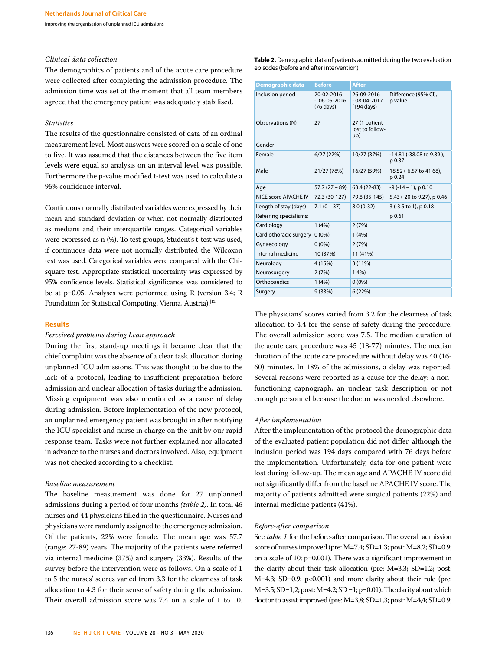Improving the organisation of unplanned ICU admissions

## *Clinical data collection*

The demographics of patients and of the acute care procedure were collected after completing the admission procedure. The admission time was set at the moment that all team members agreed that the emergency patient was adequately stabilised.

#### *Statistics*

The results of the questionnaire consisted of data of an ordinal measurement level. Most answers were scored on a scale of one to five. It was assumed that the distances between the five item levels were equal so analysis on an interval level was possible. Furthermore the p-value modified t-test was used to calculate a 95% confidence interval.

Continuous normally distributed variables were expressed by their mean and standard deviation or when not normally distributed as medians and their interquartile ranges. Categorical variables were expressed as n (%). To test groups, Student's t-test was used, if continuous data were not normally distributed the Wilcoxon test was used. Categorical variables were compared with the Chisquare test. Appropriate statistical uncertainty was expressed by 95% confidence levels. Statistical significance was considered to be at p=0.05. Analyses were performed using R (version 3.4; R Foundation for Statistical Computing, Vienna, Austria).<sup>[12]</sup>

#### **Results**

## *Perceived problems during Lean approach*

During the first stand-up meetings it became clear that the chief complaint was the absence of a clear task allocation during unplanned ICU admissions. This was thought to be due to the lack of a protocol, leading to insufficient preparation before admission and unclear allocation of tasks during the admission. Missing equipment was also mentioned as a cause of delay during admission. Before implementation of the new protocol, an unplanned emergency patient was brought in after notifying the ICU specialist and nurse in charge on the unit by our rapid response team. Tasks were not further explained nor allocated in advance to the nurses and doctors involved. Also, equipment was not checked according to a checklist.

## *Baseline measurement*

The baseline measurement was done for 27 unplanned admissions during a period of four months *(table 2)*. In total 46 nurses and 44 physicians filled in the questionnaire. Nurses and physicians were randomly assigned to the emergency admission. Of the patients, 22% were female. The mean age was 57.7 (range: 27-89) years. The majority of the patients were referred via internal medicine (37%) and surgery (33%). Results of the survey before the intervention were as follows. On a scale of 1 to 5 the nurses' scores varied from 3.3 for the clearness of task allocation to 4.3 for their sense of safety during the admission. Their overall admission score was 7.4 on a scale of 1 to 10. **Table 2.** Demographic data of patients admitted during the two evaluation episodes (before and after intervention)

| <b>Demographic data</b> | <b>Before</b>                                          | <b>After</b>                                        |                                    |
|-------------------------|--------------------------------------------------------|-----------------------------------------------------|------------------------------------|
| Inclusion period        | 20-02-2016<br>$-06 - 05 - 2016$<br>$(76 \text{ days})$ | 26-09-2016<br>$-08-04-2017$<br>$(194 \text{ days})$ | Difference (95% CI),<br>p value    |
| Observations (N)        | 27                                                     | 27 (1 patient<br>lost to follow-<br>up)             |                                    |
| Gender:                 |                                                        |                                                     |                                    |
| Female                  | 6/27(22%)                                              | 10/27 (37%)                                         | -14.81 (-38.08 to 9.89),<br>p 0.37 |
| Male                    | 21/27 (78%)                                            | 16/27 (59%)                                         | 18.52 (-6.57 to 41.68),<br>p 0.24  |
| Age                     | $57.7(27 - 89)$                                        | 63.4 (22-83)                                        | $-9$ ( $-14 - 1$ ), p 0.10         |
| NICE score APACHE IV    | 72.3 (30-127)                                          | 79.8 (35-145)                                       | 5.43 (-20 to 9.27), p 0.46         |
| Length of stay (days)   | $7.1(0 - 37)$                                          | $8.0(0-32)$                                         | 3 (-3.5 to 1), p 0.18              |
| Referring specialisms:  |                                                        |                                                     | p 0.61                             |
| Cardiology              | 1(4%)                                                  | 2(7%)                                               |                                    |
| Cardiothoracic surgery  | $0(0\%)$                                               | 1(4%)                                               |                                    |
| Gynaecology             | $0(0\%)$                                               | 2(7%)                                               |                                    |
| nternal medicine        | 10 (37%)                                               | 11 (41%)                                            |                                    |
| Neurology               | 4 (15%)                                                | $3(11\%)$                                           |                                    |
| Neurosurgery            | 2(7%)                                                  | 14%                                                 |                                    |
| Orthopaedics            | 1(4%)                                                  | $0(0\%)$                                            |                                    |
| Surgery                 | 9(33%)                                                 | 6(22%)                                              |                                    |

The physicians' scores varied from 3.2 for the clearness of task allocation to 4.4 for the sense of safety during the procedure. The overall admission score was 7.5. The median duration of the acute care procedure was 45 (18-77) minutes. The median duration of the acute care procedure without delay was 40 (16- 60) minutes. In 18% of the admissions, a delay was reported. Several reasons were reported as a cause for the delay: a nonfunctioning capnograph, an unclear task description or not enough personnel because the doctor was needed elsewhere.

#### *After implementation*

After the implementation of the protocol the demographic data of the evaluated patient population did not differ, although the inclusion period was 194 days compared with 76 days before the implementation. Unfortunately, data for one patient were lost during follow-up. The mean age and APACHE IV score did not significantly differ from the baseline APACHE IV score. The majority of patients admitted were surgical patients (22%) and internal medicine patients (41%).

#### *Before-after comparison*

See *table 1* for the before-after comparison. The overall admission score of nurses improved (pre: M=7.4; SD=1.3; post: M=8.2; SD=0.9; on a scale of 10; p=0.001). There was a significant improvement in the clarity about their task allocation (pre: M=3.3; SD=1.2; post:  $M=4.3$ ; SD=0.9; p<0.001) and more clarity about their role (pre: M=3.5; SD=1,2; post: M=4.2; SD =1; p=0.01). The clarity about which doctor to assist improved (pre: M=3,8; SD=1,3; post: M=4,4; SD=0.9;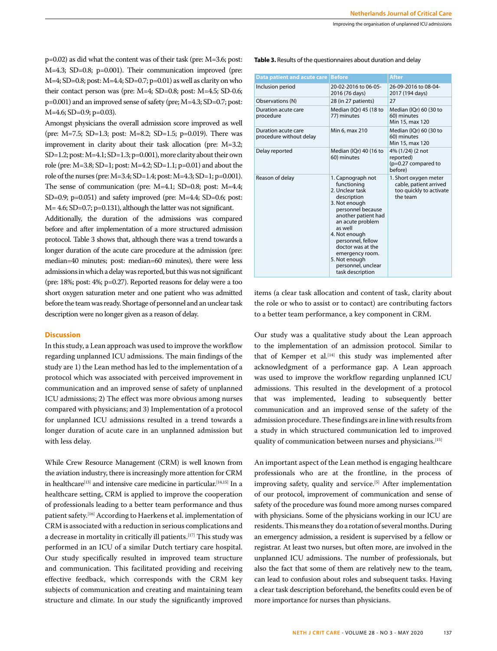Improving the organisation of unplanned ICU admissions

p=0.02) as did what the content was of their task (pre: M=3.6; post: M=4.3; SD=0.8; p=0.001). Their communication improved (pre: M=4; SD=0.8; post: M=4.4; SD=0.7; p=0.01) as well as clarity on who their contact person was (pre: M=4; SD=0.8; post: M=4.5; SD-0.6; p=0.001) and an improved sense of safety (pre; M=4.3; SD=0.7; post: M=4.6; SD=0.9; p=0.03).

Amongst physicians the overall admission score improved as well (pre: M=7.5; SD=1.3; post: M=8.2; SD=1.5; p=0.019). There was improvement in clarity about their task allocation (pre: M=3.2; SD=1.2; post: M=4.1; SD=1.3; p=0.001), more clarity about their own role (pre: M=3.8; SD=1; post: M=4.2; SD=1.1; p=0.01) and about the role of the nurses (pre: M=3.4; SD=1.4; post: M=4.3; SD=1; p=0.001). The sense of communication (pre: M=4.1; SD=0.8; post: M=4.4; SD=0.9;  $p=0.051$ ) and safety improved (pre: M=4.4; SD=0.6; post: M= 4.6; SD=0.7; p=0.131), although the latter was not significant.

Additionally, the duration of the admissions was compared before and after implementation of a more structured admission protocol. Table 3 shows that, although there was a trend towards a longer duration of the acute care procedure at the admission (pre: median=40 minutes; post: median=60 minutes), there were less admissions in which a delay was reported, but this was not significant (pre: 18%; post: 4%; p=0.27). Reported reasons for delay were a too short oxygen saturation meter and one patient who was admitted before the team was ready. Shortage of personnel and an unclear task description were no longer given as a reason of delay.

## **Discussion**

In this study, a Lean approach was used to improve the workflow regarding unplanned ICU admissions. The main findings of the study are 1) the Lean method has led to the implementation of a protocol which was associated with perceived improvement in communication and an improved sense of safety of unplanned ICU admissions; 2) The effect was more obvious among nurses compared with physicians; and 3) Implementation of a protocol for unplanned ICU admissions resulted in a trend towards a longer duration of acute care in an unplanned admission but with less delay.

While Crew Resource Management (CRM) is well known from the aviation industry, there is increasingly more attention for CRM in healthcare<sup>[13]</sup> and intensive care medicine in particular.<sup>[14,15]</sup> In a healthcare setting, CRM is applied to improve the cooperation of professionals leading to a better team performance and thus patient safety.[16] According to Haerkens et al. implementation of CRM is associated with a reduction in serious complications and a decrease in mortality in critically ill patients.<sup>[17]</sup> This study was performed in an ICU of a similar Dutch tertiary care hospital. Our study specifically resulted in improved team structure and communication. This facilitated providing and receiving effective feedback, which corresponds with the CRM key subjects of communication and creating and maintaining team structure and climate. In our study the significantly improved **Table 3.** Results of the questionnaires about duration and delay

| Data patient and acute care                    | <b>Before</b>                                                                                                                                                                                                                                                                                           | <b>After</b>                                                                           |
|------------------------------------------------|---------------------------------------------------------------------------------------------------------------------------------------------------------------------------------------------------------------------------------------------------------------------------------------------------------|----------------------------------------------------------------------------------------|
| Inclusion period                               | 20-02-2016 to 06-05-<br>2016 (76 days)                                                                                                                                                                                                                                                                  | 26-09-2016 to 08-04-<br>2017 (194 days)                                                |
| Observations (N)                               | 28 (in 27 patients)                                                                                                                                                                                                                                                                                     | 27                                                                                     |
| Duration acute care<br>procedure               | Median (IQr) 45 (18 to<br>77) minutes                                                                                                                                                                                                                                                                   | Median (IQr) 60 (30 to<br>60) minutes<br>Min 15, max 120                               |
| Duration acute care<br>procedure without delay | Min 6, max 210                                                                                                                                                                                                                                                                                          | Median (IQr) 60 (30 to<br>60) minutes<br>Min 15, max 120                               |
| Delay reported                                 | Median (IQr) 40 (16 to<br>60) minutes                                                                                                                                                                                                                                                                   | 4% (1/24) (2 not<br>reported)<br>(p=0.27 compared to<br>before)                        |
| Reason of delay                                | 1. Capnograph not<br>functioning<br>2. Unclear task<br>description<br>3. Not enough<br>personnel because<br>another patient had<br>an acute problem<br>as well<br>4. Not enough<br>personnel, fellow<br>doctor was at the<br>emergency room.<br>5. Not enough<br>personnel, unclear<br>task description | 1. Short oxygen meter<br>cable, patient arrived<br>too quickly to activate<br>the team |

items (a clear task allocation and content of task, clarity about the role or who to assist or to contact) are contributing factors to a better team performance, a key component in CRM.

Our study was a qualitative study about the Lean approach to the implementation of an admission protocol. Similar to that of Kemper et al.<sup>[14]</sup> this study was implemented after acknowledgment of a performance gap. A Lean approach was used to improve the workflow regarding unplanned ICU admissions. This resulted in the development of a protocol that was implemented, leading to subsequently better communication and an improved sense of the safety of the admission procedure. These findings are in line with results from a study in which structured communication led to improved quality of communication between nurses and physicians.<sup>[15]</sup>

An important aspect of the Lean method is engaging healthcare professionals who are at the frontline, in the process of improving safety, quality and service.<sup>[5]</sup> After implementation of our protocol, improvement of communication and sense of safety of the procedure was found more among nurses compared with physicians. Some of the physicians working in our ICU are residents. This means they do a rotation of several months. During an emergency admission, a resident is supervised by a fellow or registrar. At least two nurses, but often more, are involved in the unplanned ICU admissions. The number of professionals, but also the fact that some of them are relatively new to the team, can lead to confusion about roles and subsequent tasks. Having a clear task description beforehand, the benefits could even be of more importance for nurses than physicians.